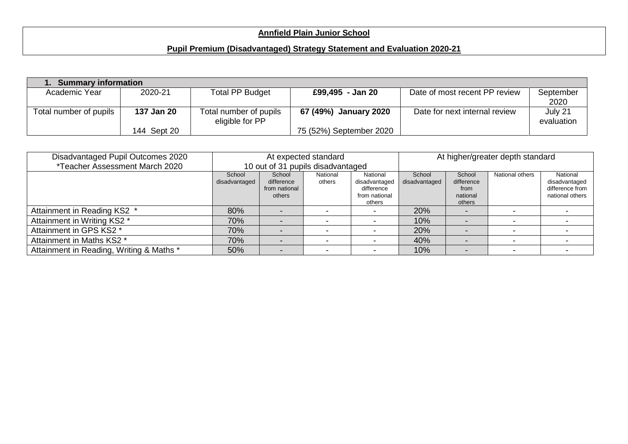## **Annfield Plain Junior School**

## **Pupil Premium (Disadvantaged) Strategy Statement and Evaluation 2020-21**

| 1. Summary information |             |                        |                         |                               |            |
|------------------------|-------------|------------------------|-------------------------|-------------------------------|------------|
| Academic Year          | 2020-21     | Total PP Budget        | £99,495 - Jan 20        | Date of most recent PP review | September  |
|                        |             |                        |                         |                               | 2020       |
| Total number of pupils | 137 Jan 20  | Total number of pupils | 67 (49%) January 2020   | Date for next internal review | July 21    |
|                        |             | eligible for PP        |                         |                               | evaluation |
|                        | 144 Sept 20 |                        | 75 (52%) September 2020 |                               |            |

| Disadvantaged Pupil Outcomes 2020        |                                                                                                                                                                        |  | At expected standard     |                                                    | At higher/greater depth standard |                                                                 |  |  |
|------------------------------------------|------------------------------------------------------------------------------------------------------------------------------------------------------------------------|--|--------------------------|----------------------------------------------------|----------------------------------|-----------------------------------------------------------------|--|--|
| <i>*Teacher Assessment March 2020</i>    | 10 out of 31 pupils disadvantaged                                                                                                                                      |  |                          |                                                    |                                  |                                                                 |  |  |
|                                          | School<br>School<br>National<br>National<br>disadvantaged<br>difference<br>disadvantaged<br>others<br>from national<br>difference<br>from national<br>others<br>others |  | School<br>disadvantaged  | School<br>difference<br>from<br>national<br>others | National others                  | National<br>disadvantaged<br>difference from<br>national others |  |  |
| Attainment in Reading KS2 *              | 80%                                                                                                                                                                    |  |                          |                                                    | 20%                              |                                                                 |  |  |
| Attainment in Writing KS2 *              | 70%                                                                                                                                                                    |  |                          |                                                    | 10%                              |                                                                 |  |  |
| Attainment in GPS KS2 *                  | 70%                                                                                                                                                                    |  |                          |                                                    | 20%                              |                                                                 |  |  |
| Attainment in Maths KS2 *                | 70%                                                                                                                                                                    |  | $\overline{\phantom{0}}$ |                                                    | 40%                              |                                                                 |  |  |
| Attainment in Reading, Writing & Maths * | 50%                                                                                                                                                                    |  |                          |                                                    | 10%                              |                                                                 |  |  |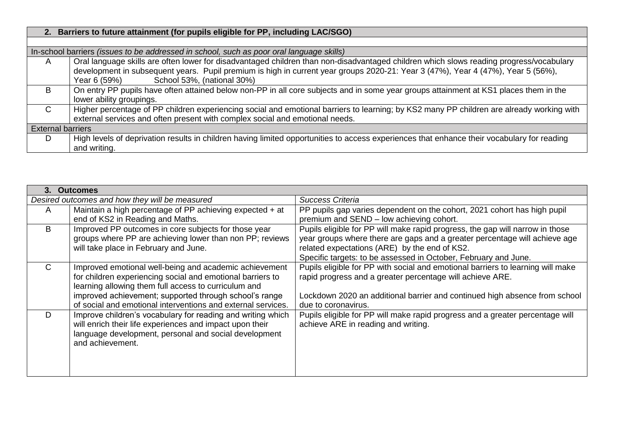|                          | 2. Barriers to future attainment (for pupils eligible for PP, including LAC/SGO)                                                            |
|--------------------------|---------------------------------------------------------------------------------------------------------------------------------------------|
|                          |                                                                                                                                             |
|                          | In-school barriers (issues to be addressed in school, such as poor oral language skills)                                                    |
| $\mathsf{A}$             | Oral language skills are often lower for disadvantaged children than non-disadvantaged children which slows reading progress/vocabulary     |
|                          | development in subsequent years. Pupil premium is high in current year groups 2020-21: Year 3 (47%), Year 4 (47%), Year 5 (56%),            |
|                          | School 53%, (national 30%)<br>Year 6 (59%)                                                                                                  |
| B                        | On entry PP pupils have often attained below non-PP in all core subjects and in some year groups attainment at KS1 places them in the       |
|                          | lower ability groupings.                                                                                                                    |
| $\mathsf{C}$             | Higher percentage of PP children experiencing social and emotional barriers to learning; by KS2 many PP children are already working with   |
|                          | external services and often present with complex social and emotional needs.                                                                |
| <b>External barriers</b> |                                                                                                                                             |
| D                        | High levels of deprivation results in children having limited opportunities to access experiences that enhance their vocabulary for reading |
|                          | and writing.                                                                                                                                |

| 3.           | <b>Outcomes</b>                                              |                                                                                 |
|--------------|--------------------------------------------------------------|---------------------------------------------------------------------------------|
|              | Desired outcomes and how they will be measured               | Success Criteria                                                                |
| A            | Maintain a high percentage of PP achieving expected + at     | PP pupils gap varies dependent on the cohort, 2021 cohort has high pupil        |
|              | end of KS2 in Reading and Maths.                             | premium and SEND - low achieving cohort.                                        |
| B            | Improved PP outcomes in core subjects for those year         | Pupils eligible for PP will make rapid progress, the gap will narrow in those   |
|              | groups where PP are achieving lower than non PP; reviews     | year groups where there are gaps and a greater percentage will achieve age      |
|              | will take place in February and June.                        | related expectations (ARE) by the end of KS2.                                   |
|              |                                                              | Specific targets: to be assessed in October, February and June.                 |
| $\mathsf{C}$ | Improved emotional well-being and academic achievement       | Pupils eligible for PP with social and emotional barriers to learning will make |
|              | for children experiencing social and emotional barriers to   | rapid progress and a greater percentage will achieve ARE.                       |
|              | learning allowing them full access to curriculum and         |                                                                                 |
|              | improved achievement; supported through school's range       | Lockdown 2020 an additional barrier and continued high absence from school      |
|              | of social and emotional interventions and external services. | due to coronavirus.                                                             |
| D            | Improve children's vocabulary for reading and writing which  | Pupils eligible for PP will make rapid progress and a greater percentage will   |
|              | will enrich their life experiences and impact upon their     | achieve ARE in reading and writing.                                             |
|              | language development, personal and social development        |                                                                                 |
|              | and achievement.                                             |                                                                                 |
|              |                                                              |                                                                                 |
|              |                                                              |                                                                                 |
|              |                                                              |                                                                                 |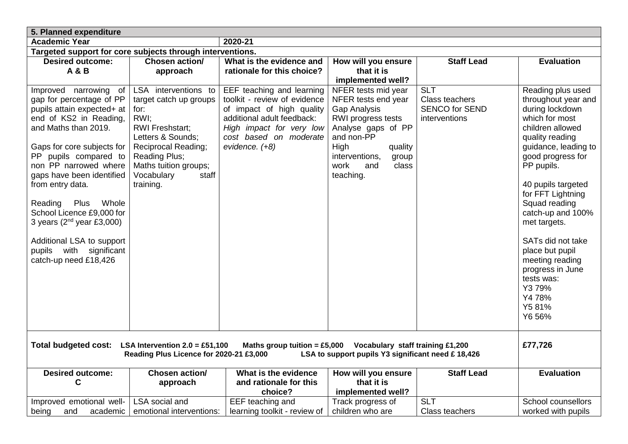| 5. Planned expenditure                                                                                                                                                                                                                                                                                                                                                                                                                       |                                                                                                                                                                                                                           |                                                                                                                                                                                              |                                                                                                                                                                                                         |                                                                        |                                                                                                                                                                                                                                                                                                                                                                                                                    |  |  |  |
|----------------------------------------------------------------------------------------------------------------------------------------------------------------------------------------------------------------------------------------------------------------------------------------------------------------------------------------------------------------------------------------------------------------------------------------------|---------------------------------------------------------------------------------------------------------------------------------------------------------------------------------------------------------------------------|----------------------------------------------------------------------------------------------------------------------------------------------------------------------------------------------|---------------------------------------------------------------------------------------------------------------------------------------------------------------------------------------------------------|------------------------------------------------------------------------|--------------------------------------------------------------------------------------------------------------------------------------------------------------------------------------------------------------------------------------------------------------------------------------------------------------------------------------------------------------------------------------------------------------------|--|--|--|
| <b>Academic Year</b>                                                                                                                                                                                                                                                                                                                                                                                                                         |                                                                                                                                                                                                                           | 2020-21                                                                                                                                                                                      |                                                                                                                                                                                                         |                                                                        |                                                                                                                                                                                                                                                                                                                                                                                                                    |  |  |  |
| Targeted support for core subjects through interventions.                                                                                                                                                                                                                                                                                                                                                                                    |                                                                                                                                                                                                                           |                                                                                                                                                                                              |                                                                                                                                                                                                         |                                                                        |                                                                                                                                                                                                                                                                                                                                                                                                                    |  |  |  |
| <b>Desired outcome:</b><br><b>A&amp;B</b>                                                                                                                                                                                                                                                                                                                                                                                                    | Chosen action/<br>approach                                                                                                                                                                                                | What is the evidence and<br>rationale for this choice?                                                                                                                                       | How will you ensure<br>that it is<br>implemented well?                                                                                                                                                  | <b>Staff Lead</b>                                                      | <b>Evaluation</b>                                                                                                                                                                                                                                                                                                                                                                                                  |  |  |  |
| Improved narrowing of<br>gap for percentage of PP<br>pupils attain expected+ at<br>end of KS2 in Reading,<br>and Maths than 2019.<br>Gaps for core subjects for<br>PP pupils compared to<br>non PP narrowed where<br>gaps have been identified<br>from entry data.<br>Reading<br>Whole<br>Plus<br>School Licence £9,000 for<br>3 years ( $2nd$ year £3,000)<br>Additional LSA to support<br>pupils with significant<br>catch-up need £18,426 | LSA interventions to<br>target catch up groups<br>for:<br>RWI;<br><b>RWI Freshstart;</b><br>Letters & Sounds;<br><b>Reciprocal Reading;</b><br>Reading Plus;<br>Maths tuition groups;<br>Vocabulary<br>staff<br>training. | EEF teaching and learning<br>toolkit - review of evidence<br>of impact of high quality<br>additional adult feedback:<br>High impact for very low<br>cost based on moderate<br>evidence. (+8) | NFER tests mid year<br>NFER tests end year<br>Gap Analysis<br>RWI progress tests<br>Analyse gaps of PP<br>and non-PP<br>High<br>quality<br>interventions,<br>group<br>work<br>class<br>and<br>teaching. | <b>SLT</b><br>Class teachers<br><b>SENCO for SEND</b><br>interventions | Reading plus used<br>throughout year and<br>during lockdown<br>which for most<br>children allowed<br>quality reading<br>guidance, leading to<br>good progress for<br>PP pupils.<br>40 pupils targeted<br>for FFT Lightning<br>Squad reading<br>catch-up and 100%<br>met targets.<br>SATs did not take<br>place but pupil<br>meeting reading<br>progress in June<br>tests was:<br>Y379%<br>Y478%<br>Y581%<br>Y6 56% |  |  |  |
| £77,726<br><b>Total budgeted cost:</b><br>Maths group tuition = £5,000 Vocabulary staff training £1,200<br>LSA Intervention $2.0 = £51,100$<br>Reading Plus Licence for 2020-21 £3,000<br>LSA to support pupils Y3 significant need £18,426                                                                                                                                                                                                  |                                                                                                                                                                                                                           |                                                                                                                                                                                              |                                                                                                                                                                                                         |                                                                        |                                                                                                                                                                                                                                                                                                                                                                                                                    |  |  |  |
| <b>Desired outcome:</b><br>$\mathbf C$                                                                                                                                                                                                                                                                                                                                                                                                       | Chosen action/<br>approach                                                                                                                                                                                                | What is the evidence<br>and rationale for this<br>choice?                                                                                                                                    | How will you ensure<br>that it is<br>implemented well?                                                                                                                                                  | <b>Staff Lead</b>                                                      | <b>Evaluation</b>                                                                                                                                                                                                                                                                                                                                                                                                  |  |  |  |
| Improved emotional well-<br>being<br>and<br>academic                                                                                                                                                                                                                                                                                                                                                                                         | LSA social and<br>emotional interventions:                                                                                                                                                                                | EEF teaching and<br>learning toolkit - review of                                                                                                                                             | Track progress of<br>children who are                                                                                                                                                                   | <b>SLT</b><br><b>Class teachers</b>                                    | School counsellors<br>worked with pupils                                                                                                                                                                                                                                                                                                                                                                           |  |  |  |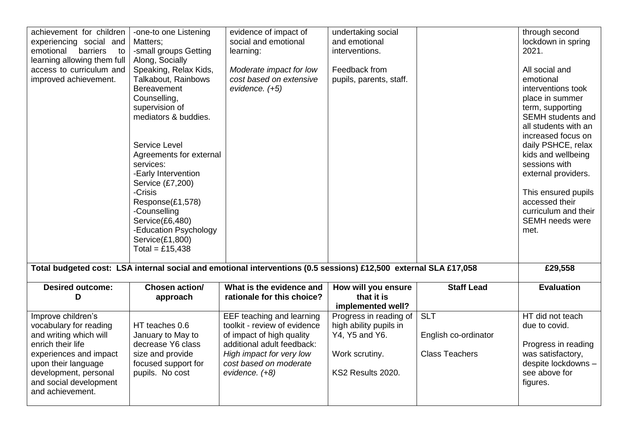| achievement for children<br>experiencing social and<br>emotional<br>barriers<br>to<br>learning allowing them full<br>access to curriculum and<br>improved achievement.                                              | -one-to one Listening<br>Matters;<br>-small groups Getting<br>Along, Socially<br>Speaking, Relax Kids,<br>Talkabout, Rainbows<br><b>Bereavement</b><br>Counselling,<br>supervision of<br>mediators & buddies.<br>Service Level<br>Agreements for external<br>services:<br>-Early Intervention<br>Service (£7,200)<br>-Crisis<br>Response(£1,578)<br>-Counselling<br>Service(£6,480)<br>-Education Psychology<br>Service(£1,800)<br>Total = £15,438 | evidence of impact of<br>social and emotional<br>learning:<br>Moderate impact for low<br>cost based on extensive<br>evidence. (+5)                                                           | undertaking social<br>and emotional<br>interventions.<br>Feedback from<br>pupils, parents, staff.         |                                                             | through second<br>lockdown in spring<br>2021.<br>All social and<br>emotional<br>interventions took<br>place in summer<br>term, supporting<br><b>SEMH</b> students and<br>all students with an<br>increased focus on<br>daily PSHCE, relax<br>kids and wellbeing<br>sessions with<br>external providers.<br>This ensured pupils<br>accessed their<br>curriculum and their<br><b>SEMH</b> needs were<br>met. |
|---------------------------------------------------------------------------------------------------------------------------------------------------------------------------------------------------------------------|----------------------------------------------------------------------------------------------------------------------------------------------------------------------------------------------------------------------------------------------------------------------------------------------------------------------------------------------------------------------------------------------------------------------------------------------------|----------------------------------------------------------------------------------------------------------------------------------------------------------------------------------------------|-----------------------------------------------------------------------------------------------------------|-------------------------------------------------------------|------------------------------------------------------------------------------------------------------------------------------------------------------------------------------------------------------------------------------------------------------------------------------------------------------------------------------------------------------------------------------------------------------------|
|                                                                                                                                                                                                                     |                                                                                                                                                                                                                                                                                                                                                                                                                                                    | Total budgeted cost: LSA internal social and emotional interventions (0.5 sessions) £12,500 external SLA £17,058                                                                             |                                                                                                           |                                                             | £29,558                                                                                                                                                                                                                                                                                                                                                                                                    |
| <b>Desired outcome:</b><br>D                                                                                                                                                                                        | Chosen action/<br>approach                                                                                                                                                                                                                                                                                                                                                                                                                         | What is the evidence and<br>rationale for this choice?                                                                                                                                       | How will you ensure<br>that it is<br>implemented well?                                                    | <b>Staff Lead</b>                                           | <b>Evaluation</b>                                                                                                                                                                                                                                                                                                                                                                                          |
| Improve children's<br>vocabulary for reading<br>and writing which will<br>enrich their life<br>experiences and impact<br>upon their language<br>development, personal<br>and social development<br>and achievement. | HT teaches 0.6<br>January to May to<br>decrease Y6 class<br>size and provide<br>focused support for<br>pupils. No cost                                                                                                                                                                                                                                                                                                                             | EEF teaching and learning<br>toolkit - review of evidence<br>of impact of high quality<br>additional adult feedback:<br>High impact for very low<br>cost based on moderate<br>evidence. (+8) | Progress in reading of<br>high ability pupils in<br>Y4, Y5 and Y6.<br>Work scrutiny.<br>KS2 Results 2020. | <b>SLT</b><br>English co-ordinator<br><b>Class Teachers</b> | HT did not teach<br>due to covid.<br>Progress in reading<br>was satisfactory,<br>despite lockdowns -<br>see above for<br>figures.                                                                                                                                                                                                                                                                          |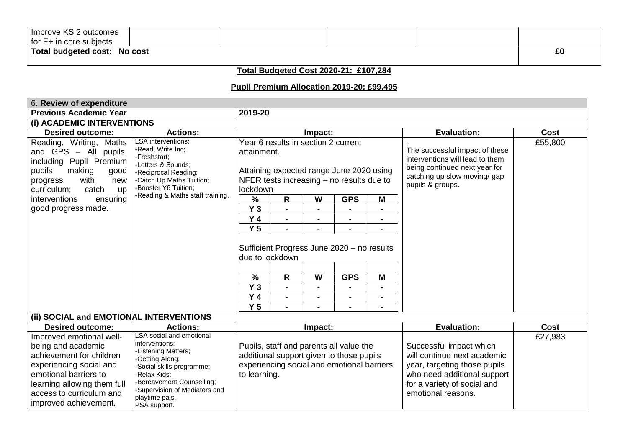| Improve KS 2 outcomes        |  |  |    |
|------------------------------|--|--|----|
| for E+ in core subjects      |  |  |    |
| Total budgeted cost: No cost |  |  | £0 |

## **Total Budgeted Cost 2020-21: £107,284**

## **Pupil Premium Allocation 2019-20: £99,495**

| 6. Review of expenditure                                                                                                                                                |                                                                                                                                                                  |                                                                                                                                                           |   |         |            |   |                                                                                                                                                        |         |
|-------------------------------------------------------------------------------------------------------------------------------------------------------------------------|------------------------------------------------------------------------------------------------------------------------------------------------------------------|-----------------------------------------------------------------------------------------------------------------------------------------------------------|---|---------|------------|---|--------------------------------------------------------------------------------------------------------------------------------------------------------|---------|
| <b>Previous Academic Year</b>                                                                                                                                           |                                                                                                                                                                  | 2019-20                                                                                                                                                   |   |         |            |   |                                                                                                                                                        |         |
| (i) ACADEMIC INTERVENTIONS                                                                                                                                              |                                                                                                                                                                  |                                                                                                                                                           |   |         |            |   |                                                                                                                                                        |         |
| <b>Desired outcome:</b>                                                                                                                                                 | <b>Actions:</b>                                                                                                                                                  |                                                                                                                                                           |   | Impact: |            |   | <b>Evaluation:</b>                                                                                                                                     | Cost    |
| Reading, Writing, Maths<br>and GPS - All pupils,<br>including Pupil Premium<br>pupils<br>making<br>good<br>with<br>progress<br>new<br>curriculum;<br>catch<br><b>up</b> | <b>LSA</b> interventions:<br>-Read, Write Inc;<br>-Freshstart;<br>-Letters & Sounds;<br>-Reciprocal Reading;<br>-Catch Up Maths Tuition;<br>-Booster Y6 Tuition; | Year 6 results in section 2 current<br>attainment.<br>Attaining expected range June 2020 using<br>NFER tests increasing $-$ no results due to<br>lockdown |   |         |            |   | The successful impact of these<br>interventions will lead to them<br>being continued next year for<br>catching up slow moving/ gap<br>pupils & groups. | £55,800 |
| interventions<br>ensuring                                                                                                                                               | -Reading & Maths staff training.                                                                                                                                 | $\frac{9}{6}$                                                                                                                                             | R | W       | <b>GPS</b> | M |                                                                                                                                                        |         |
| good progress made.                                                                                                                                                     |                                                                                                                                                                  | $Y_3$                                                                                                                                                     |   |         |            |   |                                                                                                                                                        |         |
|                                                                                                                                                                         |                                                                                                                                                                  | Y <sub>4</sub>                                                                                                                                            |   |         |            |   |                                                                                                                                                        |         |
|                                                                                                                                                                         |                                                                                                                                                                  | Y <sub>5</sub>                                                                                                                                            |   |         |            |   |                                                                                                                                                        |         |
|                                                                                                                                                                         |                                                                                                                                                                  | Sufficient Progress June 2020 - no results<br>due to lockdown                                                                                             |   |         |            |   |                                                                                                                                                        |         |
|                                                                                                                                                                         |                                                                                                                                                                  | $\frac{0}{0}$                                                                                                                                             | R | W       | <b>GPS</b> | M |                                                                                                                                                        |         |
|                                                                                                                                                                         |                                                                                                                                                                  | Y <sub>3</sub>                                                                                                                                            |   |         |            |   |                                                                                                                                                        |         |
|                                                                                                                                                                         |                                                                                                                                                                  | Y <sub>4</sub>                                                                                                                                            |   |         |            |   |                                                                                                                                                        |         |
|                                                                                                                                                                         |                                                                                                                                                                  | Y <sub>5</sub>                                                                                                                                            |   |         |            | - |                                                                                                                                                        |         |
| (ii) SOCIAL and EMOTIONAL INTERVENTIONS                                                                                                                                 |                                                                                                                                                                  |                                                                                                                                                           |   |         |            |   |                                                                                                                                                        |         |
| <b>Desired outcome:</b>                                                                                                                                                 | <b>Actions:</b>                                                                                                                                                  |                                                                                                                                                           |   | Impact: |            |   | <b>Evaluation:</b>                                                                                                                                     | Cost    |
| Improved emotional well-                                                                                                                                                | LSA social and emotional                                                                                                                                         |                                                                                                                                                           |   |         |            |   |                                                                                                                                                        | £27,983 |
| being and academic                                                                                                                                                      | interventions:                                                                                                                                                   | Pupils, staff and parents all value the                                                                                                                   |   |         |            |   | Successful impact which                                                                                                                                |         |

additional support given to those pupils experiencing social and emotional barriers will continue next academic year, targeting those pupils who need additional support for a variety of social and emotional reasons.

to learning.

achievement for children experiencing social and emotional barriers to learning allowing them full access to curriculum and improved achievement.

-Listening Matters; -Getting Along;

-Relax Kids;

playtime pals. PSA support.

-Social skills programme;

-Bereavement Counselling; -Supervision of Mediators and